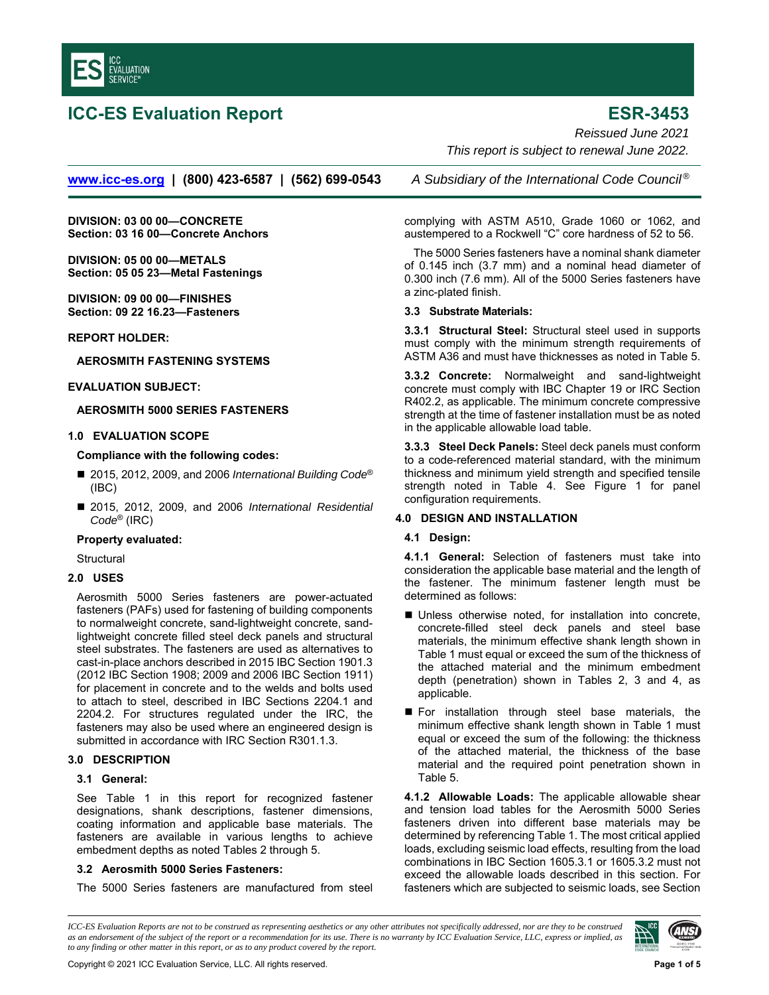

# **ICC-ES Evaluation Report ESR-3453**

*Reissued June 2021 This report is subject to renewal June 2022.* 

**www.icc-es.org | (800) 423-6587 | (562) 699-0543** *A Subsidiary of the International Code Council ®*

**DIVISION: 03 00 00—CONCRETE Section: 03 16 00—Concrete Anchors** 

**DIVISION: 05 00 00—METALS Section: 05 05 23—Metal Fastenings** 

**DIVISION: 09 00 00—FINISHES Section: 09 22 16.23—Fasteners** 

## **REPORT HOLDER:**

## **AEROSMITH FASTENING SYSTEMS**

## **EVALUATION SUBJECT:**

## **AEROSMITH 5000 SERIES FASTENERS**

# **1.0 EVALUATION SCOPE**

# **Compliance with the following codes:**

- 2015, 2012, 2009, and 2006 International Building Code<sup>®</sup> (IBC)
- 2015, 2012, 2009, and 2006 *International Residential Code*® (IRC)

## **Property evaluated:**

**Structural** 

# **2.0 USES**

Aerosmith 5000 Series fasteners are power-actuated fasteners (PAFs) used for fastening of building components to normalweight concrete, sand-lightweight concrete, sandlightweight concrete filled steel deck panels and structural steel substrates. The fasteners are used as alternatives to cast-in-place anchors described in 2015 IBC Section 1901.3 (2012 IBC Section 1908; 2009 and 2006 IBC Section 1911) for placement in concrete and to the welds and bolts used to attach to steel, described in IBC Sections 2204.1 and 2204.2. For structures regulated under the IRC, the fasteners may also be used where an engineered design is submitted in accordance with IRC Section R301.1.3.

#### **3.0 DESCRIPTION**

#### **3.1 General:**

See Table 1 in this report for recognized fastener designations, shank descriptions, fastener dimensions, coating information and applicable base materials. The fasteners are available in various lengths to achieve embedment depths as noted Tables 2 through 5.

# **3.2 Aerosmith 5000 Series Fasteners:**

The 5000 Series fasteners are manufactured from steel

complying with ASTM A510, Grade 1060 or 1062, and austempered to a Rockwell "C" core hardness of 52 to 56.

The 5000 Series fasteners have a nominal shank diameter of 0.145 inch (3.7 mm) and a nominal head diameter of 0.300 inch (7.6 mm). All of the 5000 Series fasteners have a zinc-plated finish.

## **3.3 Substrate Materials:**

**3.3.1 Structural Steel:** Structural steel used in supports must comply with the minimum strength requirements of ASTM A36 and must have thicknesses as noted in Table 5.

**3.3.2 Concrete:** Normalweight and sand-lightweight concrete must comply with IBC Chapter 19 or IRC Section R402.2, as applicable. The minimum concrete compressive strength at the time of fastener installation must be as noted in the applicable allowable load table.

**3.3.3 Steel Deck Panels:** Steel deck panels must conform to a code-referenced material standard, with the minimum thickness and minimum yield strength and specified tensile strength noted in Table 4. See Figure 1 for panel configuration requirements.

# **4.0 DESIGN AND INSTALLATION**

# **4.1 Design:**

**4.1.1 General:** Selection of fasteners must take into consideration the applicable base material and the length of the fastener. The minimum fastener length must be determined as follows:

- Unless otherwise noted, for installation into concrete, concrete-filled steel deck panels and steel base materials, the minimum effective shank length shown in Table 1 must equal or exceed the sum of the thickness of the attached material and the minimum embedment depth (penetration) shown in Tables 2, 3 and 4, as applicable.
- **For installation through steel base materials, the** minimum effective shank length shown in Table 1 must equal or exceed the sum of the following: the thickness of the attached material, the thickness of the base material and the required point penetration shown in Table 5.

**4.1.2 Allowable Loads:** The applicable allowable shear and tension load tables for the Aerosmith 5000 Series fasteners driven into different base materials may be determined by referencing Table 1. The most critical applied loads, excluding seismic load effects, resulting from the load combinations in IBC Section 1605.3.1 or 1605.3.2 must not exceed the allowable loads described in this section. For fasteners which are subjected to seismic loads, see Section

*ICC-ES Evaluation Reports are not to be construed as representing aesthetics or any other attributes not specifically addressed, nor are they to be construed as an endorsement of the subject of the report or a recommendation for its use. There is no warranty by ICC Evaluation Service, LLC, express or implied, as to any finding or other matter in this report, or as to any product covered by the report.*

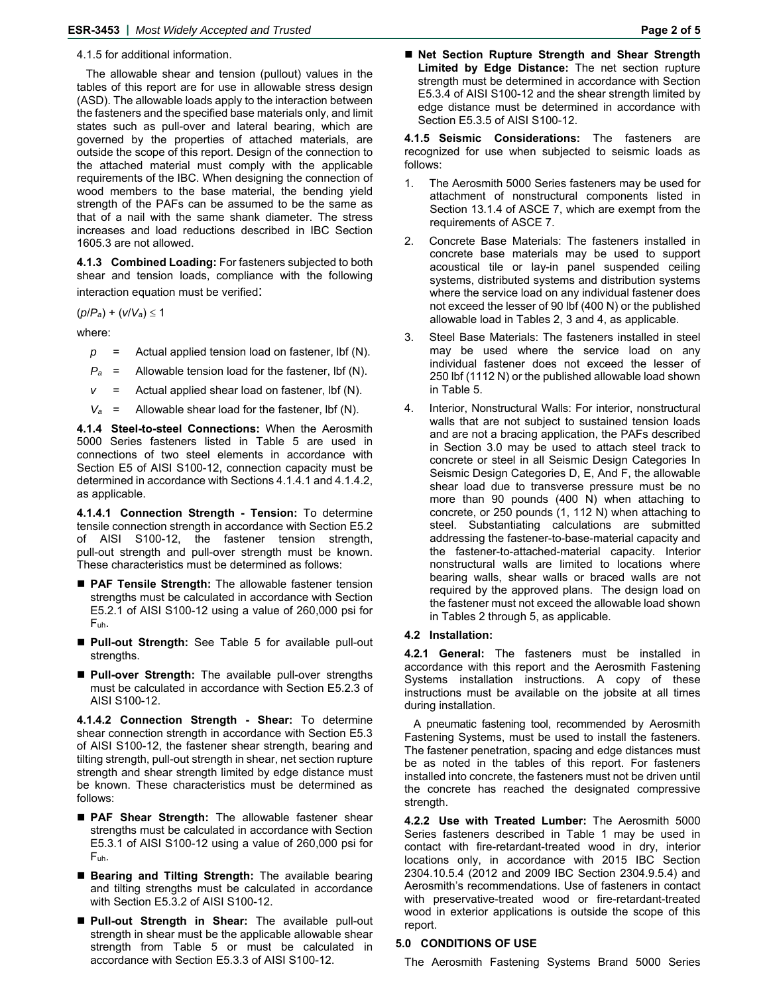4.1.5 for additional information.

The allowable shear and tension (pullout) values in the tables of this report are for use in allowable stress design (ASD). The allowable loads apply to the interaction between the fasteners and the specified base materials only, and limit states such as pull-over and lateral bearing, which are governed by the properties of attached materials, are outside the scope of this report. Design of the connection to the attached material must comply with the applicable requirements of the IBC. When designing the connection of wood members to the base material, the bending yield strength of the PAFs can be assumed to be the same as that of a nail with the same shank diameter. The stress increases and load reductions described in IBC Section 1605.3 are not allowed.

**4.1.3 Combined Loading:** For fasteners subjected to both shear and tension loads, compliance with the following interaction equation must be verified:

 $(p/P_a) + (V/V_a) \le 1$ 

where:

- $p =$  Actual applied tension load on fastener, lbf (N).
- *Pa* = Allowable tension load for the fastener, lbf (N).
- *v* = Actual applied shear load on fastener, lbf (N).
- $V_a$  = Allowable shear load for the fastener, lbf (N).

**4.1.4 Steel-to-steel Connections:** When the Aerosmith 5000 Series fasteners listed in Table 5 are used in connections of two steel elements in accordance with Section E5 of AISI S100-12, connection capacity must be determined in accordance with Sections 4.1.4.1 and 4.1.4.2, as applicable.

**4.1.4.1 Connection Strength - Tension:** To determine tensile connection strength in accordance with Section E5.2 of AISI S100-12, the fastener tension strength, pull-out strength and pull-over strength must be known. These characteristics must be determined as follows:

- **PAF Tensile Strength:** The allowable fastener tension strengths must be calculated in accordance with Section E5.2.1 of AISI S100-12 using a value of 260,000 psi for Fuh.
- **Pull-out Strength:** See Table 5 for available pull-out strengths.
- **Pull-over Strength:** The available pull-over strengths must be calculated in accordance with Section E5.2.3 of AISI S100-12.

**4.1.4.2 Connection Strength - Shear:** To determine shear connection strength in accordance with Section E5.3 of AISI S100-12, the fastener shear strength, bearing and tilting strength, pull-out strength in shear, net section rupture strength and shear strength limited by edge distance must be known. These characteristics must be determined as follows:

- **PAF Shear Strength:** The allowable fastener shear strengths must be calculated in accordance with Section E5.3.1 of AISI S100-12 using a value of 260,000 psi for Fuh.
- **Bearing and Tilting Strength:** The available bearing and tilting strengths must be calculated in accordance with Section E5.3.2 of AISI S100-12.
- **Pull-out Strength in Shear:** The available pull-out strength in shear must be the applicable allowable shear strength from Table 5 or must be calculated in accordance with Section E5.3.3 of AISI S100-12.

**4.1.5 Seismic Considerations:** The fasteners are recognized for use when subjected to seismic loads as follows:

- 1. The Aerosmith 5000 Series fasteners may be used for attachment of nonstructural components listed in Section 13.1.4 of ASCE 7, which are exempt from the requirements of ASCE 7.
- 2. Concrete Base Materials: The fasteners installed in concrete base materials may be used to support acoustical tile or lay-in panel suspended ceiling systems, distributed systems and distribution systems where the service load on any individual fastener does not exceed the lesser of 90 lbf (400 N) or the published allowable load in Tables 2, 3 and 4, as applicable.
- 3. Steel Base Materials: The fasteners installed in steel may be used where the service load on any individual fastener does not exceed the lesser of 250 lbf (1112 N) or the published allowable load shown in Table 5.
- 4. Interior, Nonstructural Walls: For interior, nonstructural walls that are not subject to sustained tension loads and are not a bracing application, the PAFs described in Section 3.0 may be used to attach steel track to concrete or steel in all Seismic Design Categories In Seismic Design Categories D, E, And F, the allowable shear load due to transverse pressure must be no more than 90 pounds (400 N) when attaching to concrete, or 250 pounds (1, 112 N) when attaching to steel. Substantiating calculations are submitted addressing the fastener-to-base-material capacity and the fastener-to-attached-material capacity. Interior nonstructural walls are limited to locations where bearing walls, shear walls or braced walls are not required by the approved plans. The design load on the fastener must not exceed the allowable load shown in Tables 2 through 5, as applicable.

# **4.2 Installation:**

**4.2.1 General:** The fasteners must be installed in accordance with this report and the Aerosmith Fastening Systems installation instructions. A copy of these instructions must be available on the jobsite at all times during installation.

A pneumatic fastening tool, recommended by Aerosmith Fastening Systems, must be used to install the fasteners. The fastener penetration, spacing and edge distances must be as noted in the tables of this report. For fasteners installed into concrete, the fasteners must not be driven until the concrete has reached the designated compressive strength.

**4.2.2 Use with Treated Lumber:** The Aerosmith 5000 Series fasteners described in Table 1 may be used in contact with fire-retardant-treated wood in dry, interior locations only, in accordance with 2015 IBC Section 2304.10.5.4 (2012 and 2009 IBC Section 2304.9.5.4) and Aerosmith's recommendations. Use of fasteners in contact with preservative-treated wood or fire-retardant-treated wood in exterior applications is outside the scope of this report.

# **5.0 CONDITIONS OF USE**

The Aerosmith Fastening Systems Brand 5000 Series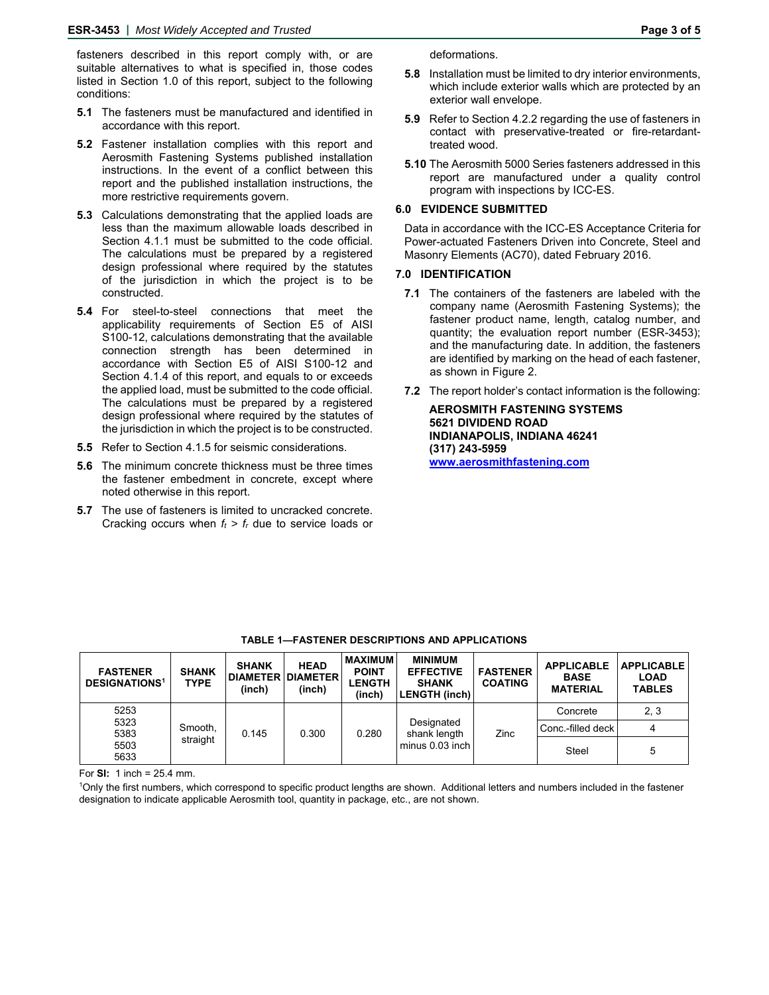fasteners described in this report comply with, or are suitable alternatives to what is specified in, those codes listed in Section 1.0 of this report, subject to the following conditions:

- **5.1** The fasteners must be manufactured and identified in accordance with this report.
- **5.2** Fastener installation complies with this report and Aerosmith Fastening Systems published installation instructions. In the event of a conflict between this report and the published installation instructions, the more restrictive requirements govern.
- **5.3** Calculations demonstrating that the applied loads are less than the maximum allowable loads described in Section 4.1.1 must be submitted to the code official. The calculations must be prepared by a registered design professional where required by the statutes of the jurisdiction in which the project is to be constructed.
- **5.4** For steel-to-steel connections that meet the applicability requirements of Section E5 of AISI S100-12, calculations demonstrating that the available connection strength has been determined in accordance with Section E5 of AISI S100-12 and Section 4.1.4 of this report, and equals to or exceeds the applied load, must be submitted to the code official. The calculations must be prepared by a registered design professional where required by the statutes of the jurisdiction in which the project is to be constructed.
- **5.5** Refer to Section 4.1.5 for seismic considerations.
- **5.6** The minimum concrete thickness must be three times the fastener embedment in concrete, except where noted otherwise in this report.
- **5.7** The use of fasteners is limited to uncracked concrete. Cracking occurs when  $f_t > f_t$  due to service loads or

deformations.

- **5.8** Installation must be limited to dry interior environments, which include exterior walls which are protected by an exterior wall envelope.
- **5.9** Refer to Section 4.2.2 regarding the use of fasteners in contact with preservative-treated or fire-retardanttreated wood.
- **5.10** The Aerosmith 5000 Series fasteners addressed in this report are manufactured under a quality control program with inspections by ICC-ES.

#### **6.0 EVIDENCE SUBMITTED**

Data in accordance with the ICC-ES Acceptance Criteria for Power-actuated Fasteners Driven into Concrete, Steel and Masonry Elements (AC70), dated February 2016.

#### **7.0 IDENTIFICATION**

- **7.1** The containers of the fasteners are labeled with the company name (Aerosmith Fastening Systems); the fastener product name, length, catalog number, and quantity; the evaluation report number (ESR-3453); and the manufacturing date. In addition, the fasteners are identified by marking on the head of each fastener, as shown in Figure 2.
- **7.2** The report holder's contact information is the following:

**AEROSMITH FASTENING SYSTEMS 5621 DIVIDEND ROAD INDIANAPOLIS, INDIANA 46241 (317) 243-5959 www.aerosmithfastening.com** 

| <b>FASTENER</b><br><b>DESIGNATIONS<sup>1</sup></b> | <b>SHANK</b><br><b>TYPE</b> | <b>SHANK</b><br><b>DIAMETER DIAMETER</b><br>(inch) | <b>HEAD</b><br>(inch) | <b>MAXIMUM</b><br><b>POINT</b><br><b>LENGTH</b><br>(inch) | <b>MINIMUM</b><br><b>EFFECTIVE</b><br><b>SHANK</b><br><b>LENGTH (inch)</b> | <b>FASTENER</b><br><b>COATING</b> | <b>APPLICABLE</b><br><b>BASE</b><br><b>MATERIAL</b> | <b>APPLICABLE</b><br><b>LOAD</b><br><b>TABLES</b> |
|----------------------------------------------------|-----------------------------|----------------------------------------------------|-----------------------|-----------------------------------------------------------|----------------------------------------------------------------------------|-----------------------------------|-----------------------------------------------------|---------------------------------------------------|
| 5253                                               |                             |                                                    |                       |                                                           |                                                                            |                                   | Concrete                                            | 2, 3                                              |
| 5323<br>5383                                       | Smooth,                     | 0.145                                              | 0.300                 | 0.280                                                     | Designated<br>shank length                                                 | Zinc                              | Conc.-filled deck                                   |                                                   |
| 5503<br>5633                                       | straight                    |                                                    |                       |                                                           | minus 0.03 inch                                                            |                                   | Steel                                               | 5                                                 |

#### **TABLE 1—FASTENER DESCRIPTIONS AND APPLICATIONS**

For **SI:** 1 inch = 25.4 mm.

1 Only the first numbers, which correspond to specific product lengths are shown. Additional letters and numbers included in the fastener designation to indicate applicable Aerosmith tool, quantity in package, etc., are not shown.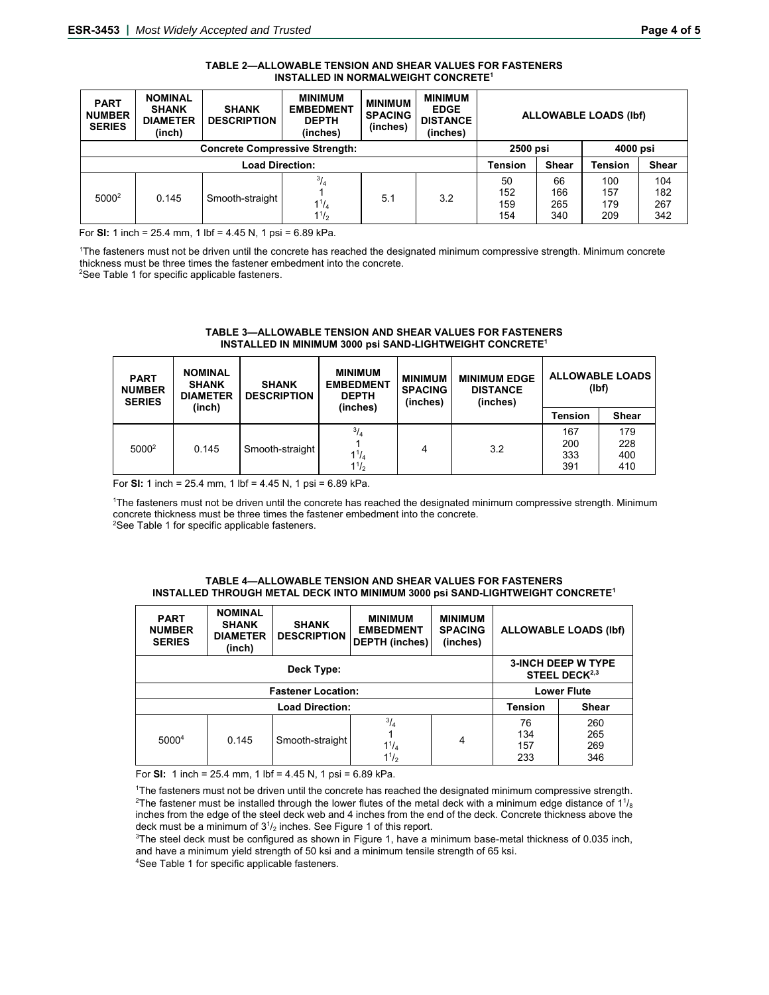| TABLE 2—ALLOWABLE TENSION AND SHEAR VALUES FOR FASTENERS |
|----------------------------------------------------------|
| <b>INSTALLED IN NORMALWEIGHT CONCRETE<sup>1</sup></b>    |

| <b>PART</b><br><b>NUMBER</b><br><b>SERIES</b> | <b>NOMINAL</b><br><b>SHANK</b><br><b>DIAMETER</b><br>(inch) | <b>SHANK</b><br><b>DESCRIPTION</b> | <b>MINIMUM</b><br><b>EMBEDMENT</b><br><b>DEPTH</b><br>(inches) | <b>MINIMUM</b><br><b>SPACING</b><br>(inches) | <b>MINIMUM</b><br><b>EDGE</b><br><b>DISTANCE</b><br>(inches) | <b>ALLOWABLE LOADS (Ibf)</b> |                         |                          |                          |
|-----------------------------------------------|-------------------------------------------------------------|------------------------------------|----------------------------------------------------------------|----------------------------------------------|--------------------------------------------------------------|------------------------------|-------------------------|--------------------------|--------------------------|
| <b>Concrete Compressive Strength:</b>         |                                                             |                                    |                                                                |                                              |                                                              | 2500 psi                     |                         | 4000 psi                 |                          |
|                                               | <b>Load Direction:</b>                                      |                                    |                                                                |                                              |                                                              |                              | <b>Shear</b>            | Tension                  | <b>Shear</b>             |
| $5000^2$                                      | 0.145                                                       | Smooth-straight                    | $^{3}/_{4}$<br>$1^{1}/_{4}$<br>$1^{1/2}$                       | 5.1                                          | 3.2                                                          | 50<br>152<br>159<br>154      | 66<br>166<br>265<br>340 | 100<br>157<br>179<br>209 | 104<br>182<br>267<br>342 |

For **SI:** 1 inch = 25.4 mm, 1 lbf = 4.45 N, 1 psi = 6.89 kPa.

1 The fasteners must not be driven until the concrete has reached the designated minimum compressive strength. Minimum concrete thickness must be three times the fastener embedment into the concrete. 2

<sup>2</sup>See Table 1 for specific applicable fasteners.

| <b>PART</b><br><b>NUMBER</b><br><b>SERIES</b> | <b>NOMINAL</b><br><b>SHANK</b><br><b>DIAMETER</b> | <b>SHANK</b><br><b>DESCRIPTION</b> | <b>MINIMUM</b><br><b>EMBEDMENT</b><br><b>DEPTH</b> | <b>MINIMUM</b><br><b>SPACING</b><br>(inches) | <b>MINIMUM EDGE</b><br><b>DISTANCE</b><br>(inches) | <b>ALLOWABLE LOADS</b><br>(lbf) |                          |  |
|-----------------------------------------------|---------------------------------------------------|------------------------------------|----------------------------------------------------|----------------------------------------------|----------------------------------------------------|---------------------------------|--------------------------|--|
|                                               | (inch)                                            |                                    | (inches)                                           |                                              |                                                    | Tension                         | Shear                    |  |
| $5000^2$                                      | 0.145                                             | Smooth-straight                    | $^{3}/_{4}$<br>$1^{1}/_{4}$<br>$1^{1/2}$           | 4                                            | 3.2                                                | 167<br>200<br>333<br>391        | 179<br>228<br>400<br>410 |  |

#### **TABLE 3—ALLOWABLE TENSION AND SHEAR VALUES FOR FASTENERS INSTALLED IN MINIMUM 3000 psi SAND-LIGHTWEIGHT CONCRETE1**

For **SI:** 1 inch = 25.4 mm, 1 lbf = 4.45 N, 1 psi = 6.89 kPa.

1 The fasteners must not be driven until the concrete has reached the designated minimum compressive strength. Minimum concrete thickness must be three times the fastener embedment into the concrete. 2 <sup>2</sup>See Table 1 for specific applicable fasteners.

| TABLE 4—ALLOWABLE TENSION AND SHEAR VALUES FOR FASTENERS                                  |
|-------------------------------------------------------------------------------------------|
| INSTALLED THROUGH METAL DECK INTO MINIMUM 3000 psi SAND-LIGHTWEIGHT CONCRETE <sup>1</sup> |

| <b>PART</b><br><b>NUMBER</b><br><b>SERIES</b> | <b>NOMINAL</b><br><b>SHANK</b><br><b>DIAMETER</b><br>(inch) | <b>SHANK</b><br><b>DESCRIPTION</b> | <b>MINIMUM</b><br><b>EMBEDMENT</b><br><b>DEPTH</b> (inches) | <b>MINIMUM</b><br><b>SPACING</b><br>(inches) | <b>ALLOWABLE LOADS (Ibf)</b> |                                                        |  |
|-----------------------------------------------|-------------------------------------------------------------|------------------------------------|-------------------------------------------------------------|----------------------------------------------|------------------------------|--------------------------------------------------------|--|
|                                               |                                                             | Deck Type:                         |                                                             |                                              |                              | <b>3-INCH DEEP W TYPE</b><br>STEEL DECK <sup>2,3</sup> |  |
|                                               | <b>Fastener Location:</b>                                   | <b>Lower Flute</b>                 |                                                             |                                              |                              |                                                        |  |
|                                               |                                                             |                                    |                                                             |                                              |                              |                                                        |  |
|                                               |                                                             | <b>Load Direction:</b>             |                                                             |                                              | <b>Tension</b>               | <b>Shear</b>                                           |  |

For **SI:** 1 inch = 25.4 mm, 1 lbf = 4.45 N, 1 psi = 6.89 kPa.

The fasteners must not be driven until the concrete has reached the designated minimum compressive strength.<br><sup>2</sup>The fastener must be installed through the lower flutes of the metal deck with a minimum edge distance of 11/ The fastener must be installed through the lower flutes of the metal deck with a minimum edge distance of 1 $\%$ inches from the edge of the steel deck web and 4 inches from the end of the deck. Concrete thickness above the deck must be a minimum of 31 /2 inches. See Figure 1 of this report. 3

 $3$ The steel deck must be configured as shown in Figure 1, have a minimum base-metal thickness of 0.035 inch, and have a minimum yield strength of 50 ksi and a minimum tensile strength of 65 ksi. 4

See Table 1 for specific applicable fasteners.